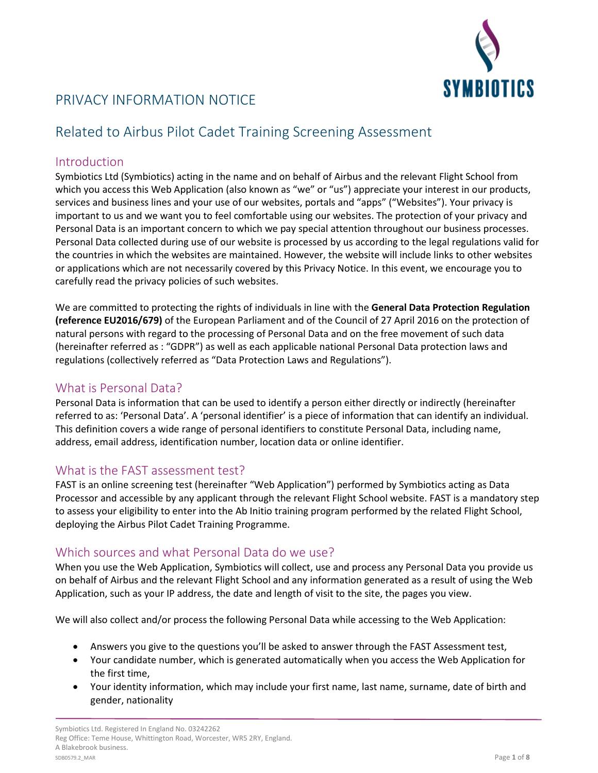

# PRIVACY INFORMATION NOTICE

# Related to Airbus Pilot Cadet Training Screening Assessment

#### Introduction

Symbiotics Ltd (Symbiotics) acting in the name and on behalf of Airbus and the relevant Flight School from which you access this Web Application (also known as "we" or "us") appreciate your interest in our products, services and business lines and your use of our websites, portals and "apps" ("Websites"). Your privacy is important to us and we want you to feel comfortable using our websites. The protection of your privacy and Personal Data is an important concern to which we pay special attention throughout our business processes. Personal Data collected during use of our website is processed by us according to the legal regulations valid for the countries in which the websites are maintained. However, the website will include links to other websites or applications which are not necessarily covered by this Privacy Notice. In this event, we encourage you to carefully read the privacy policies of such websites.

We are committed to protecting the rights of individuals in line with the **General Data Protection Regulation (reference EU2016/679)** of the European Parliament and of the Council of 27 April 2016 on the protection of natural persons with regard to the processing of Personal Data and on the free movement of such data (hereinafter referred as : "GDPR") as well as each applicable national Personal Data protection laws and regulations (collectively referred as "Data Protection Laws and Regulations").

#### What is Personal Data?

Personal Data is information that can be used to identify a person either directly or indirectly (hereinafter referred to as: 'Personal Data'. A 'personal identifier' is a piece of information that can identify an individual. This definition covers a wide range of personal identifiers to constitute Personal Data, including name, address, email address, identification number, location data or online identifier.

## What is the FAST assessment test?

FAST is an online screening test (hereinafter "Web Application") performed by Symbiotics acting as Data Processor and accessible by any applicant through the relevant Flight School website. FAST is a mandatory step to assess your eligibility to enter into the Ab Initio training program performed by the related Flight School, deploying the Airbus Pilot Cadet Training Programme.

## Which sources and what Personal Data do we use?

When you use the Web Application, Symbiotics will collect, use and process any Personal Data you provide us on behalf of Airbus and the relevant Flight School and any information generated as a result of using the Web Application, such as your IP address, the date and length of visit to the site, the pages you view.

We will also collect and/or process the following Personal Data while accessing to the Web Application:

- Answers you give to the questions you'll be asked to answer through the FAST Assessment test,
- Your candidate number, which is generated automatically when you access the Web Application for the first time,
- Your identity information, which may include your first name, last name, surname, date of birth and gender, nationality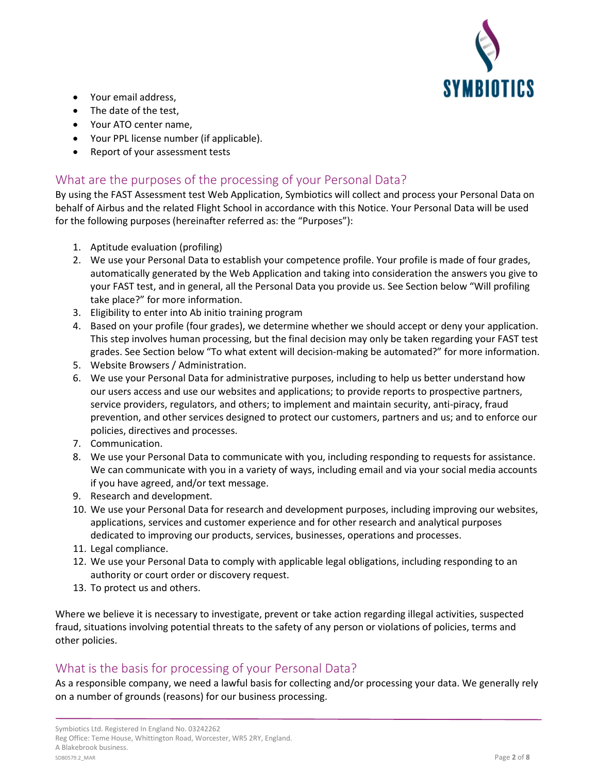

- Your email address,
- The date of the test,
- Your ATO center name,
- Your PPL license number (if applicable).
- Report of your assessment tests

## What are the purposes of the processing of your Personal Data?

By using the FAST Assessment test Web Application, Symbiotics will collect and process your Personal Data on behalf of Airbus and the related Flight School in accordance with this Notice. Your Personal Data will be used for the following purposes (hereinafter referred as: the "Purposes"):

- 1. Aptitude evaluation (profiling)
- 2. We use your Personal Data to establish your competence profile. Your profile is made of four grades, automatically generated by the Web Application and taking into consideration the answers you give to your FAST test, and in general, all the Personal Data you provide us. See Section below "Will profiling take place?" for more information.
- 3. Eligibility to enter into Ab initio training program
- 4. Based on your profile (four grades), we determine whether we should accept or deny your application. This step involves human processing, but the final decision may only be taken regarding your FAST test grades. See Section below "To what extent will decision-making be automated?" for more information.
- 5. Website Browsers / Administration.
- 6. We use your Personal Data for administrative purposes, including to help us better understand how our users access and use our websites and applications; to provide reports to prospective partners, service providers, regulators, and others; to implement and maintain security, anti-piracy, fraud prevention, and other services designed to protect our customers, partners and us; and to enforce our policies, directives and processes.
- 7. Communication.
- 8. We use your Personal Data to communicate with you, including responding to requests for assistance. We can communicate with you in a variety of ways, including email and via your social media accounts if you have agreed, and/or text message.
- 9. Research and development.
- 10. We use your Personal Data for research and development purposes, including improving our websites, applications, services and customer experience and for other research and analytical purposes dedicated to improving our products, services, businesses, operations and processes.
- 11. Legal compliance.
- 12. We use your Personal Data to comply with applicable legal obligations, including responding to an authority or court order or discovery request.
- 13. To protect us and others.

Where we believe it is necessary to investigate, prevent or take action regarding illegal activities, suspected fraud, situations involving potential threats to the safety of any person or violations of policies, terms and other policies.

## What is the basis for processing of your Personal Data?

As a responsible company, we need a lawful basis for collecting and/or processing your data. We generally rely on a number of grounds (reasons) for our business processing.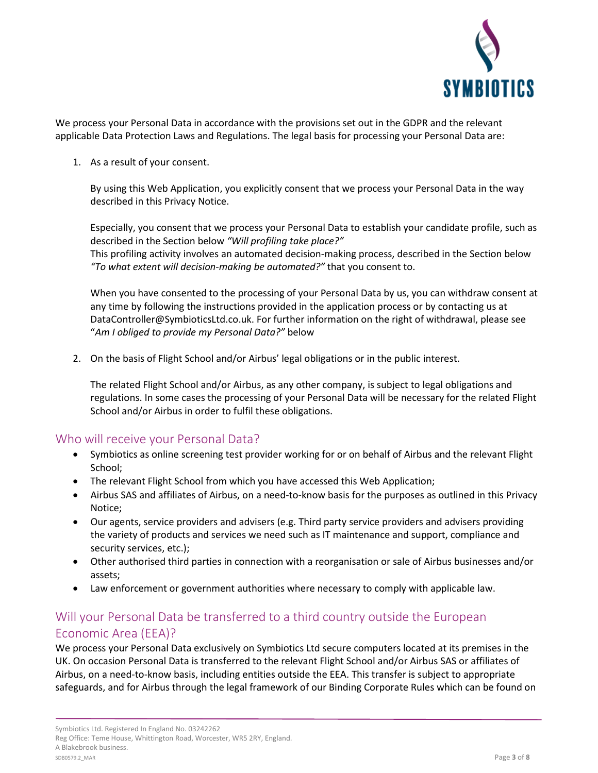

We process your Personal Data in accordance with the provisions set out in the GDPR and the relevant applicable Data Protection Laws and Regulations. The legal basis for processing your Personal Data are:

1. As a result of your consent.

By using this Web Application, you explicitly consent that we process your Personal Data in the way described in this Privacy Notice.

Especially, you consent that we process your Personal Data to establish your candidate profile, such as described in the Section below *"Will profiling take place?"* This profiling activity involves an automated decision-making process, described in the Section below *"To what extent will decision-making be automated?"* that you consent to.

When you have consented to the processing of your Personal Data by us, you can withdraw consent at any time by following the instructions provided in the application process or by contacting us at DataController@SymbioticsLtd.co.uk. For further information on the right of withdrawal, please see "*Am I obliged to provide my Personal Data?"* below

2. On the basis of Flight School and/or Airbus' legal obligations or in the public interest.

The related Flight School and/or Airbus, as any other company, is subject to legal obligations and regulations. In some cases the processing of your Personal Data will be necessary for the related Flight School and/or Airbus in order to fulfil these obligations.

#### Who will receive your Personal Data?

- Symbiotics as online screening test provider working for or on behalf of Airbus and the relevant Flight School;
- The relevant Flight School from which you have accessed this Web Application;
- Airbus SAS and affiliates of Airbus, on a need-to-know basis for the purposes as outlined in this Privacy Notice;
- Our agents, service providers and advisers (e.g. Third party service providers and advisers providing the variety of products and services we need such as IT maintenance and support, compliance and security services, etc.);
- Other authorised third parties in connection with a reorganisation or sale of Airbus businesses and/or assets;
- Law enforcement or government authorities where necessary to comply with applicable law.

## Will your Personal Data be transferred to a third country outside the European Economic Area (EEA)?

We process your Personal Data exclusively on Symbiotics Ltd secure computers located at its premises in the UK. On occasion Personal Data is transferred to the relevant Flight School and/or Airbus SAS or affiliates of Airbus, on a need-to-know basis, including entities outside the EEA. This transfer is subject to appropriate safeguards, and for Airbus through the legal framework of our Binding Corporate Rules which can be found on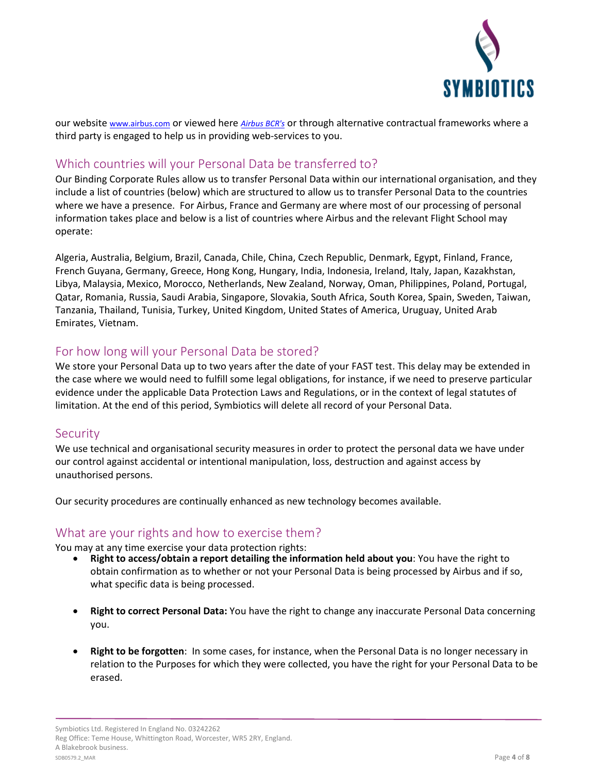

our website [www.airbus.com](http://www.airbus.com/) or viewed here *[Airbus](http://www.airbus.com/content/dam/corporate-topics/corporate-social-responsibility/ethics-and-compliance/Airbus-Binding-Corporate-Rules%20.pdf) BCR's* or through alternative contractual frameworks where a third party is engaged to help us in providing web-services to you.

### Which countries will your Personal Data be transferred to?

Our Binding Corporate Rules allow us to transfer Personal Data within our international organisation, and they include a list of countries (below) which are structured to allow us to transfer Personal Data to the countries where we have a presence. For Airbus, France and Germany are where most of our processing of personal information takes place and below is a list of countries where Airbus and the relevant Flight School may operate:

Algeria, Australia, Belgium, Brazil, Canada, Chile, China, Czech Republic, Denmark, Egypt, Finland, France, French Guyana, Germany, Greece, Hong Kong, Hungary, India, Indonesia, Ireland, Italy, Japan, Kazakhstan, Libya, Malaysia, Mexico, Morocco, Netherlands, New Zealand, Norway, Oman, Philippines, Poland, Portugal, Qatar, Romania, Russia, Saudi Arabia, Singapore, Slovakia, South Africa, South Korea, Spain, Sweden, Taiwan, Tanzania, Thailand, Tunisia, Turkey, United Kingdom, United States of America, Uruguay, United Arab Emirates, Vietnam.

### For how long will your Personal Data be stored?

We store your Personal Data up to two years after the date of your FAST test. This delay may be extended in the case where we would need to fulfill some legal obligations, for instance, if we need to preserve particular evidence under the applicable Data Protection Laws and Regulations, or in the context of legal statutes of limitation. At the end of this period, Symbiotics will delete all record of your Personal Data.

#### **Security**

We use technical and organisational security measures in order to protect the personal data we have under our control against accidental or intentional manipulation, loss, destruction and against access by unauthorised persons.

Our security procedures are continually enhanced as new technology becomes available.

#### What are your rights and how to exercise them?

You may at any time exercise your data protection rights:

- **Right to access/obtain a report detailing the information held about you**: You have the right to obtain confirmation as to whether or not your Personal Data is being processed by Airbus and if so, what specific data is being processed.
- **Right to correct Personal Data:** You have the right to change any inaccurate Personal Data concerning you.
- **Right to be forgotten**: In some cases, for instance, when the Personal Data is no longer necessary in relation to the Purposes for which they were collected, you have the right for your Personal Data to be erased.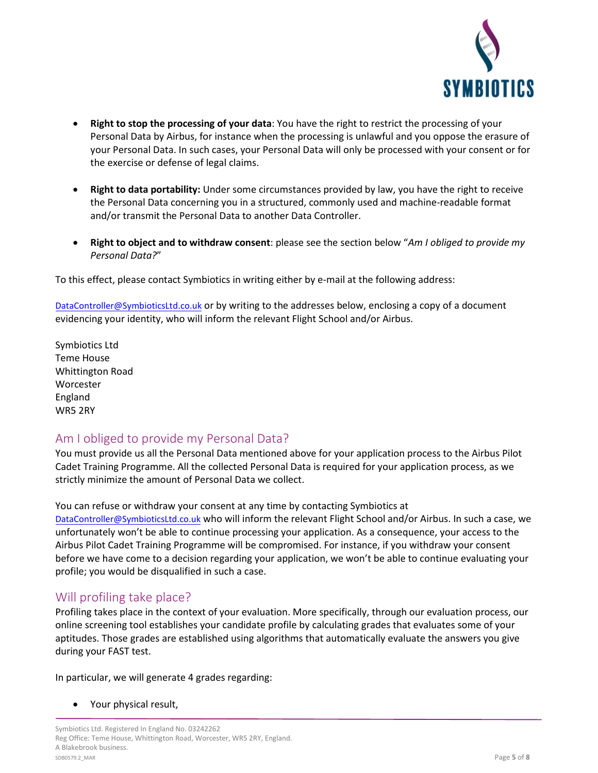

- **Right to stop the processing of your data**: You have the right to restrict the processing of your Personal Data by Airbus, for instance when the processing is unlawful and you oppose the erasure of your Personal Data. In such cases, your Personal Data will only be processed with your consent or for the exercise or defense of legal claims.
- **Right to data portability:** Under some circumstances provided by law, you have the right to receive the Personal Data concerning you in a structured, commonly used and machine-readable format and/or transmit the Personal Data to another Data Controller.
- **Right to object and to withdraw consent**: please see the section below "*Am I obliged to provide my Personal Data?*"

To this effect, please contact Symbiotics in writing either by e-mail at the following address:

[DataC](mailto:dataprotection@airbus.com)ontroller@SymbioticsLtd.co.uk or by writing to the addresses below, enclosing a copy of a document evidencing your identity, who will inform the relevant Flight School and/or Airbus.

Symbiotics Ltd Teme House Whittington Road Worcester England WR5 2RY

#### Am I obliged to provide my Personal Data?

You must provide us all the Personal Data mentioned above for your application process to the Airbus Pilot Cadet Training Programme. All the collected Personal Data is required for your application process, as we strictly minimize the amount of Personal Data we collect.

You can refuse or withdraw your consent at any time by contacting Symbiotics at [DataController@SymbioticsLtd.co.uk](mailto:DataController@SymbioticsLtd.co.uk) who will inform the relevant Flight School and/or Airbus. In such a case, we unfortunately won't be able to continue processing your application. As a consequence, your access to the Airbus Pilot Cadet Training Programme will be compromised. For instance, if you withdraw your consent before we have come to a decision regarding your application, we won't be able to continue evaluating your profile; you would be disqualified in such a case.

#### Will profiling take place?

Profiling takes place in the context of your evaluation. More specifically, through our evaluation process, our online screening tool establishes your candidate profile by calculating grades that evaluates some of your aptitudes. Those grades are established using algorithms that automatically evaluate the answers you give during your FAST test.

In particular, we will generate 4 grades regarding:

• Your physical result,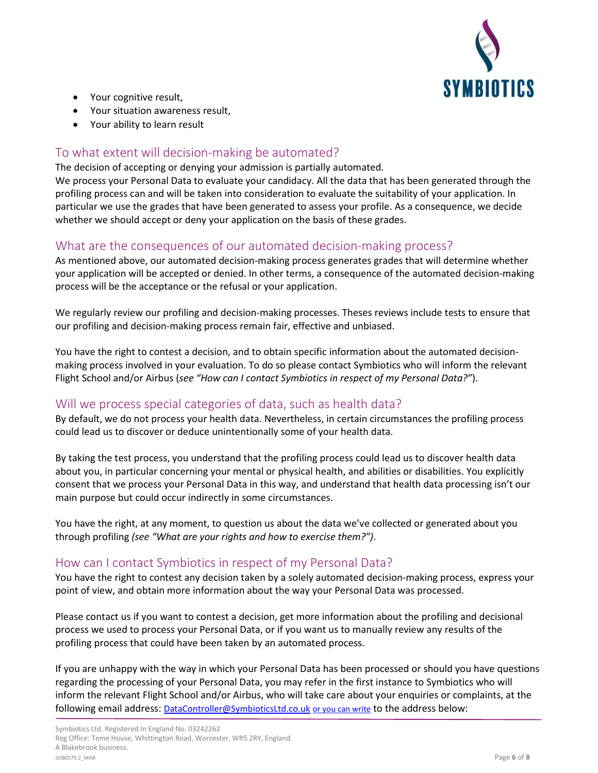

- Your cognitive result,
- Your situation awareness result,
- Your ability to learn result

## To what extent will decision-making be automated?

The decision of accepting or denying your admission is partially automated.

We process your Personal Data to evaluate your candidacy. All the data that has been generated through the profiling process can and will be taken into consideration to evaluate the suitability of your application. In particular we use the grades that have been generated to assess your profile. As a consequence, we decide whether we should accept or deny your application on the basis of these grades.

## What are the consequences of our automated decision-making process?

As mentioned above, our automated decision-making process generates grades that will determine whether your application will be accepted or denied. In other terms, a consequence of the automated decision-making process will be the acceptance or the refusal or your application.

We regularly review our profiling and decision-making processes. Theses reviews include tests to ensure that our profiling and decision-making process remain fair, effective and unbiased.

You have the right to contest a decision, and to obtain specific information about the automated decisionmaking process involved in your evaluation. To do so please contact Symbiotics who will inform the relevant Flight School and/or Airbus (*see "How can I contact Symbiotics in respect of my Personal Data?"*).

## Will we process special categories of data, such as health data?

By default, we do not process your health data. Nevertheless, in certain circumstances the profiling process could lead us to discover or deduce unintentionally some of your health data.

By taking the test process, you understand that the profiling process could lead us to discover health data about you, in particular concerning your mental or physical health, and abilities or disabilities. You explicitly consent that we process your Personal Data in this way, and understand that health data processing isn't our main purpose but could occur indirectly in some circumstances.

You have the right, at any moment, to question us about the data we've collected or generated about you through profiling *(see "What are your rights and how to exercise them?")*.

## How can I contact Symbiotics in respect of my Personal Data?

You have the right to contest any decision taken by a solely automated decision-making process, express your point of view, and obtain more information about the way your Personal Data was processed.

Please contact us if you want to contest a decision, get more information about the profiling and decisional process we used to process your Personal Data, or if you want us to manually review any results of the profiling process that could have been taken by an automated process.

If you are unhappy with the way in which your Personal Data has been processed or should you have questions regarding the processing of your Personal Data, you may refer in the first instance to Symbiotics who will inform the relevant Flight School and/or Airbus, who will take care about your enquiries or complaints, at the following email address: [DataC](mailto:dataprotection@airbus.com)ontroller@SymbioticsLtd.co.uk or you can write to the address below: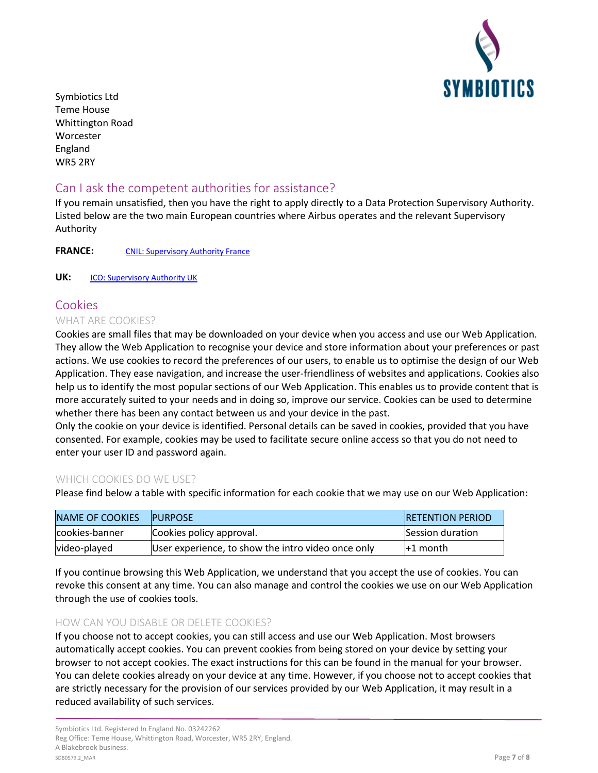

Symbiotics Ltd Teme House Whittington Road Worcester England WR5 2RY

## Can I ask the competent authorities for assistance?

If you remain unsatisfied, then you have the right to apply directly to a Data Protection Supervisory Authority. Listed below are the two main European countries where Airbus operates and the relevant Supervisory Authority

FRANCE: [CNIL: Supervisory Authority France](https://www.cnil.fr/)

**UK: [ICO: Supervisory Authority UK](https://ico.org.uk/)** 

## Cookies

#### WHAT ARE COOKIES?

Cookies are small files that may be downloaded on your device when you access and use our Web Application. They allow the Web Application to recognise your device and store information about your preferences or past actions. We use cookies to record the preferences of our users, to enable us to optimise the design of our Web Application. They ease navigation, and increase the user-friendliness of websites and applications. Cookies also help us to identify the most popular sections of our Web Application. This enables us to provide content that is more accurately suited to your needs and in doing so, improve our service. Cookies can be used to determine whether there has been any contact between us and your device in the past.

Only the cookie on your device is identified. Personal details can be saved in cookies, provided that you have consented. For example, cookies may be used to facilitate secure online access so that you do not need to enter your user ID and password again.

#### WHICH COOKIES DO WE USE?

Please find below a table with specific information for each cookie that we may use on our Web Application:

| NAME OF COOKIES | <b>PURPOSE</b>                                     | <b>IRETENTION PERIOD</b> |
|-----------------|----------------------------------------------------|--------------------------|
| cookies-banner  | Cookies policy approval.                           | <b>Session duration</b>  |
| video-played    | User experience, to show the intro video once only | +1 month                 |

If you continue browsing this Web Application, we understand that you accept the use of cookies. You can revoke this consent at any time. You can also manage and control the cookies we use on our Web Application through the use of cookies tools.

#### HOW CAN YOU DISABLE OR DELETE COOKIES?

If you choose not to accept cookies, you can still access and use our Web Application. Most browsers automatically accept cookies. You can prevent cookies from being stored on your device by setting your browser to not accept cookies. The exact instructions for this can be found in the manual for your browser. You can delete cookies already on your device at any time. However, if you choose not to accept cookies that are strictly necessary for the provision of our services provided by our Web Application, it may result in a reduced availability of such services.